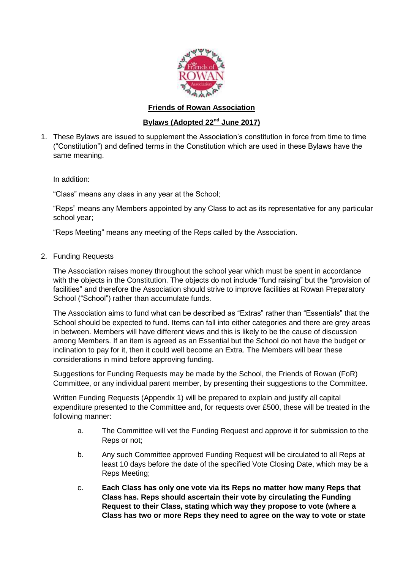

## **Friends of Rowan Association**

# **Bylaws (Adopted 22nd June 2017)**

1. These Bylaws are issued to supplement the Association's constitution in force from time to time ("Constitution") and defined terms in the Constitution which are used in these Bylaws have the same meaning.

In addition:

"Class" means any class in any year at the School;

"Reps" means any Members appointed by any Class to act as its representative for any particular school year;

"Reps Meeting" means any meeting of the Reps called by the Association.

# 2. Funding Requests

The Association raises money throughout the school year which must be spent in accordance with the objects in the Constitution. The objects do not include "fund raising" but the "provision of facilities" and therefore the Association should strive to improve facilities at Rowan Preparatory School ("School") rather than accumulate funds.

The Association aims to fund what can be described as "Extras" rather than "Essentials" that the School should be expected to fund. Items can fall into either categories and there are grey areas in between. Members will have different views and this is likely to be the cause of discussion among Members. If an item is agreed as an Essential but the School do not have the budget or inclination to pay for it, then it could well become an Extra. The Members will bear these considerations in mind before approving funding.

Suggestions for Funding Requests may be made by the School, the Friends of Rowan (FoR) Committee, or any individual parent member, by presenting their suggestions to the Committee.

Written Funding Requests (Appendix 1) will be prepared to explain and justify all capital expenditure presented to the Committee and, for requests over £500, these will be treated in the following manner:

- a. The Committee will vet the Funding Request and approve it for submission to the Reps or not;
- b. Any such Committee approved Funding Request will be circulated to all Reps at least 10 days before the date of the specified Vote Closing Date, which may be a Reps Meeting;
- c. **Each Class has only one vote via its Reps no matter how many Reps that Class has. Reps should ascertain their vote by circulating the Funding Request to their Class, stating which way they propose to vote (where a Class has two or more Reps they need to agree on the way to vote or state**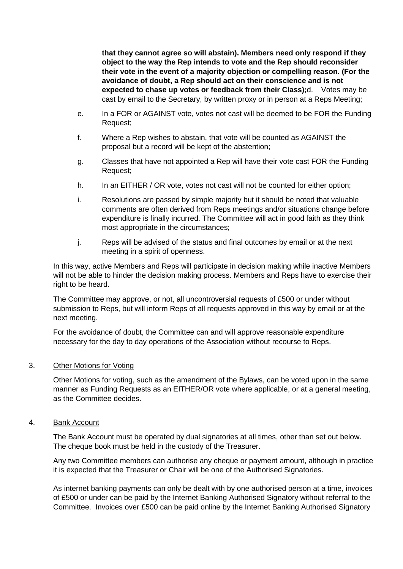**that they cannot agree so will abstain). Members need only respond if they object to the way the Rep intends to vote and the Rep should reconsider their vote in the event of a majority objection or compelling reason. (For the avoidance of doubt, a Rep should act on their conscience and is not expected to chase up votes or feedback from their Class);**d. Votes may be cast by email to the Secretary, by written proxy or in person at a Reps Meeting;

- e. In a FOR or AGAINST vote, votes not cast will be deemed to be FOR the Funding Request;
- f. Where a Rep wishes to abstain, that vote will be counted as AGAINST the proposal but a record will be kept of the abstention;
- g. Classes that have not appointed a Rep will have their vote cast FOR the Funding Request;
- h. In an EITHER / OR vote, votes not cast will not be counted for either option;
- i. Resolutions are passed by simple majority but it should be noted that valuable comments are often derived from Reps meetings and/or situations change before expenditure is finally incurred. The Committee will act in good faith as they think most appropriate in the circumstances;
- j. Reps will be advised of the status and final outcomes by email or at the next meeting in a spirit of openness.

In this way, active Members and Reps will participate in decision making while inactive Members will not be able to hinder the decision making process. Members and Reps have to exercise their right to be heard.

The Committee may approve, or not, all uncontroversial requests of £500 or under without submission to Reps, but will inform Reps of all requests approved in this way by email or at the next meeting.

For the avoidance of doubt, the Committee can and will approve reasonable expenditure necessary for the day to day operations of the Association without recourse to Reps.

#### 3. Other Motions for Voting

Other Motions for voting, such as the amendment of the Bylaws, can be voted upon in the same manner as Funding Requests as an EITHER/OR vote where applicable, or at a general meeting, as the Committee decides.

#### 4. Bank Account

The Bank Account must be operated by dual signatories at all times, other than set out below. The cheque book must be held in the custody of the Treasurer.

Any two Committee members can authorise any cheque or payment amount, although in practice it is expected that the Treasurer or Chair will be one of the Authorised Signatories.

As internet banking payments can only be dealt with by one authorised person at a time, invoices of £500 or under can be paid by the Internet Banking Authorised Signatory without referral to the Committee. Invoices over £500 can be paid online by the Internet Banking Authorised Signatory